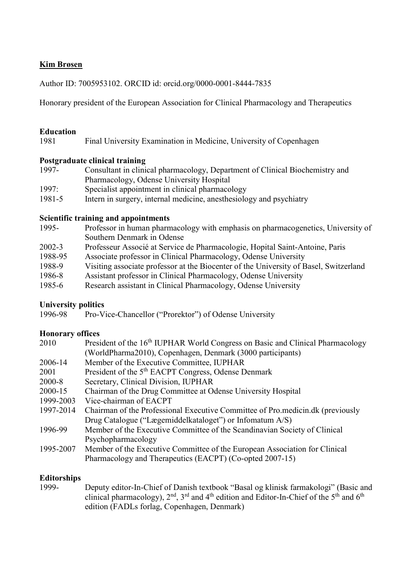# Kim Brøsen

Author ID: 7005953102. ORCID id: orcid.org/0000-0001-8444-7835

Honorary president of the European Association for Clinical Pharmacology and Therapeutics

### Education

1981 Final University Examination in Medicine, University of Copenhagen

### Postgraduate clinical training

- 1997- Consultant in clinical pharmacology, Department of Clinical Biochemistry and Pharmacology, Odense University Hospital
- 1997: Specialist appointment in clinical pharmacology
- 1981-5 Intern in surgery, internal medicine, anesthesiology and psychiatry

### Scientific training and appointments

- 1995- Professor in human pharmacology with emphasis on pharmacogenetics, University of Southern Denmark in Odense
- 2002-3 Professeur Associé at Service de Pharmacologie, Hopital Saint-Antoine, Paris
- 1988-95 Associate professor in Clinical Pharmacology, Odense University
- 1988-9 Visiting associate professor at the Biocenter of the University of Basel, Switzerland
- 1986-8 Assistant professor in Clinical Pharmacology, Odense University
- 1985-6 Research assistant in Clinical Pharmacology, Odense University

### University politics

1996-98 Pro-Vice-Chancellor ("Prorektor") of Odense University

## Honorary offices

| President of the 16 <sup>th</sup> IUPHAR World Congress on Basic and Clinical Pharmacology |
|--------------------------------------------------------------------------------------------|
| (WorldPharma2010), Copenhagen, Denmark (3000 participants)                                 |
| Member of the Executive Committee, IUPHAR                                                  |
| President of the 5 <sup>th</sup> EACPT Congress, Odense Denmark                            |
| Secretary, Clinical Division, IUPHAR                                                       |
| Chairman of the Drug Committee at Odense University Hospital                               |
| Vice-chairman of EACPT                                                                     |
| Chairman of the Professional Executive Committee of Pro.medicin.dk (previously             |
| Drug Catalogue ("Lægemiddelkataloget") or Infomatum A/S)                                   |
| Member of the Executive Committee of the Scandinavian Society of Clinical                  |
| Psychopharmacology                                                                         |
| Member of the Executive Committee of the European Association for Clinical                 |
| Pharmacology and Therapeutics (EACPT) (Co-opted 2007-15)                                   |
|                                                                                            |

## Editorships

1999- Deputy editor-In-Chief of Danish textbook "Basal og klinisk farmakologi" (Basic and clinical pharmacology),  $2^{nd}$ ,  $3^{rd}$  and  $4^{th}$  edition and Editor-In-Chief of the  $5^{th}$  and  $6^{th}$ edition (FADLs forlag, Copenhagen, Denmark)